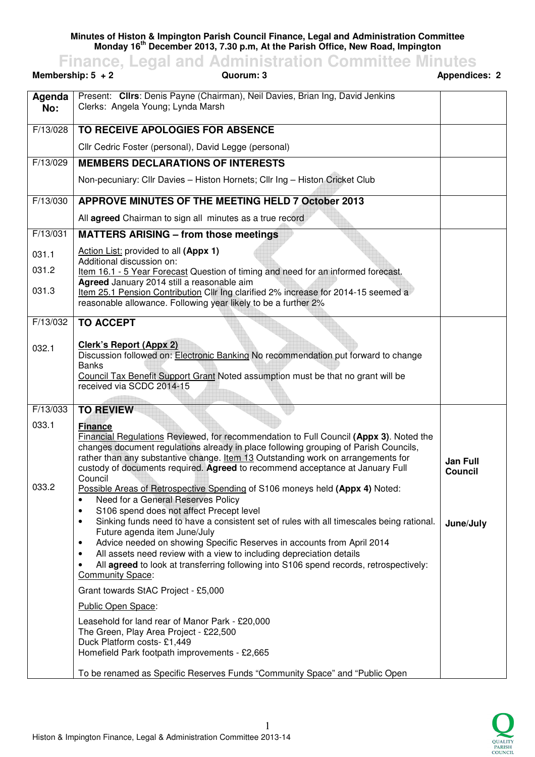**Minutes of Histon & Impington Parish Council Finance, Legal and Administration Committee Monday 16th December 2013, 7.30 p.m, At the Parish Office, New Road, Impington** 

**Finance, Legal and Administration Committee Minutes Membership: 5 + 2 Quorum: 3 Appendices: 2**  Present: **Cllrs**: Denis Payne (Chairman), Neil Davies, Brian Ing, David Jenkins

| Agenda<br>No: | Present: Cllrs: Denis Payne (Chairman), Neil Davies, Brian Ing, David Jenkins<br>Clerks: Angela Young; Lynda Marsh                                                  |                 |
|---------------|---------------------------------------------------------------------------------------------------------------------------------------------------------------------|-----------------|
| F/13/028      | TO RECEIVE APOLOGIES FOR ABSENCE                                                                                                                                    |                 |
|               | Cllr Cedric Foster (personal), David Legge (personal)                                                                                                               |                 |
| F/13/029      | <b>MEMBERS DECLARATIONS OF INTERESTS</b>                                                                                                                            |                 |
|               | Non-pecuniary: Cllr Davies - Histon Hornets; Cllr Ing - Histon Cricket Club                                                                                         |                 |
| F/13/030      | APPROVE MINUTES OF THE MEETING HELD 7 October 2013                                                                                                                  |                 |
|               | All agreed Chairman to sign all minutes as a true record                                                                                                            |                 |
| F/13/031      | <b>MATTERS ARISING - from those meetings</b>                                                                                                                        |                 |
| 031.1         | Action List: provided to all (Appx 1)                                                                                                                               |                 |
| 031.2         | Additional discussion on:<br>Item 16.1 - 5 Year Forecast Question of timing and need for an informed forecast.                                                      |                 |
| 031.3         | Agreed January 2014 still a reasonable aim<br>Item 25.1 Pension Contribution Cllr Ing clarified 2% increase for 2014-15 seemed a                                    |                 |
|               | reasonable allowance. Following year likely to be a further 2%                                                                                                      |                 |
| F/13/032      | <b>TO ACCEPT</b>                                                                                                                                                    |                 |
|               |                                                                                                                                                                     |                 |
| 032.1         | <b>Clerk's Report (Appx 2)</b><br>Discussion followed on: Electronic Banking No recommendation put forward to change                                                |                 |
|               | <b>Banks</b>                                                                                                                                                        |                 |
|               | Council Tax Benefit Support Grant Noted assumption must be that no grant will be<br>received via SCDC 2014-15                                                       |                 |
|               |                                                                                                                                                                     |                 |
| F/13/033      | <b>TO REVIEW</b>                                                                                                                                                    |                 |
| 033.1         | <b>Finance</b><br>Financial Regulations Reviewed, for recommendation to Full Council (Appx 3). Noted the                                                            |                 |
|               | changes document regulations already in place following grouping of Parish Councils,                                                                                |                 |
|               | rather than any substantive change. Item 13 Outstanding work on arrangements for<br>custody of documents required. Agreed to recommend acceptance at January Full   | <b>Jan Full</b> |
|               | Council                                                                                                                                                             | Council         |
| 033.2         | Possible Areas of Retrospective Spending of S106 moneys held (Appx 4) Noted:<br>Need for a General Reserves Policy<br>$\bullet$                                     |                 |
|               | S106 spend does not affect Precept level<br>٠                                                                                                                       |                 |
|               | Sinking funds need to have a consistent set of rules with all timescales being rational.<br>$\bullet$<br>Future agenda item June/July                               | June/July       |
|               | Advice needed on showing Specific Reserves in accounts from April 2014<br>$\bullet$                                                                                 |                 |
|               | All assets need review with a view to including depreciation details<br>٠<br>All agreed to look at transferring following into S106 spend records, retrospectively: |                 |
|               | <b>Community Space:</b>                                                                                                                                             |                 |
|               | Grant towards StAC Project - £5,000                                                                                                                                 |                 |
|               | Public Open Space:                                                                                                                                                  |                 |
|               | Leasehold for land rear of Manor Park - £20,000                                                                                                                     |                 |
|               | The Green, Play Area Project - £22,500<br>Duck Platform costs-£1,449                                                                                                |                 |
|               | Homefield Park footpath improvements - £2,665                                                                                                                       |                 |
|               | To be renamed as Specific Reserves Funds "Community Space" and "Public Open                                                                                         |                 |